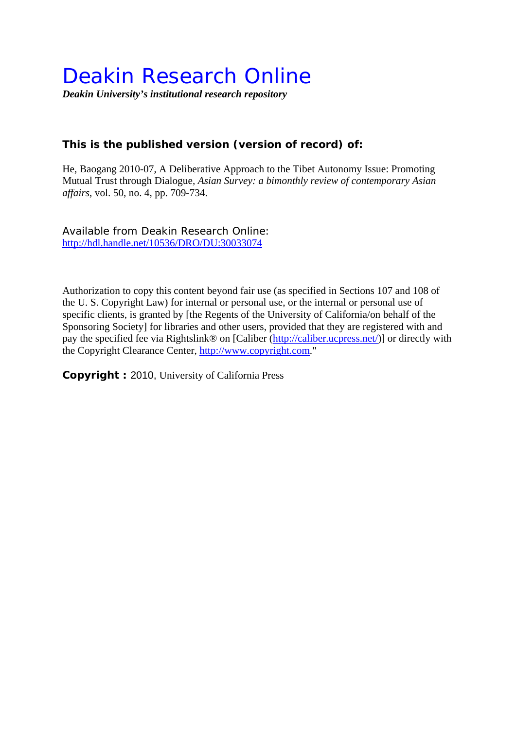# Deakin Research Online

*Deakin University's institutional research repository* 

# **This is the published version (version of record) of:**

He, Baogang 2010-07, A Deliberative Approach to the Tibet Autonomy Issue: Promoting Mutual Trust through Dialogue*, Asian Survey: a bimonthly review of contemporary Asian affairs*, vol. 50, no. 4, pp. 709-734.

Available from Deakin Research Online: http://hdl.handle.net/10536/DRO/DU:30033074

Authorization to copy this content beyond fair use (as specified in Sections 107 and 108 of the U. S. Copyright Law) for internal or personal use, or the internal or personal use of specific clients, is granted by [the Regents of the University of California/on behalf of the Sponsoring Society] for libraries and other users, provided that they are registered with and pay the specified fee via Rightslink® on [Caliber (http://caliber.ucpress.net/)] or directly with the Copyright Clearance Center, http://www.copyright.com."

**Copyright :** 2010, University of California Press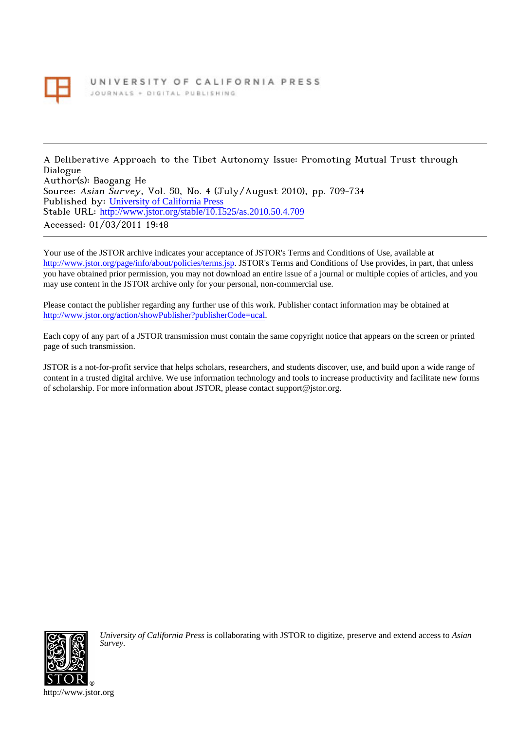

A Deliberative Approach to the Tibet Autonomy Issue: Promoting Mutual Trust through Dialogue Author(s): Baogang He Source: Asian Survey, Vol. 50, No. 4 (July/August 2010), pp. 709-734 Published by: [University of California Press](http://www.jstor.org/action/showPublisher?publisherCode=ucal) Stable URL: [http://www.jstor.org/stable/10.1525/as.2010.50.4.709](http://www.jstor.org/stable/10.1525/as.2010.50.4.709?origin=JSTOR-pdf) . Accessed: 01/03/2011 19:48

Your use of the JSTOR archive indicates your acceptance of JSTOR's Terms and Conditions of Use, available at <http://www.jstor.org/page/info/about/policies/terms.jsp>. JSTOR's Terms and Conditions of Use provides, in part, that unless you have obtained prior permission, you may not download an entire issue of a journal or multiple copies of articles, and you may use content in the JSTOR archive only for your personal, non-commercial use.

Please contact the publisher regarding any further use of this work. Publisher contact information may be obtained at [http://www.jstor.org/action/showPublisher?publisherCode=ucal.](http://www.jstor.org/action/showPublisher?publisherCode=ucal)

Each copy of any part of a JSTOR transmission must contain the same copyright notice that appears on the screen or printed page of such transmission.

JSTOR is a not-for-profit service that helps scholars, researchers, and students discover, use, and build upon a wide range of content in a trusted digital archive. We use information technology and tools to increase productivity and facilitate new forms of scholarship. For more information about JSTOR, please contact support@jstor.org.



*University of California Press* is collaborating with JSTOR to digitize, preserve and extend access to *Asian Survey.*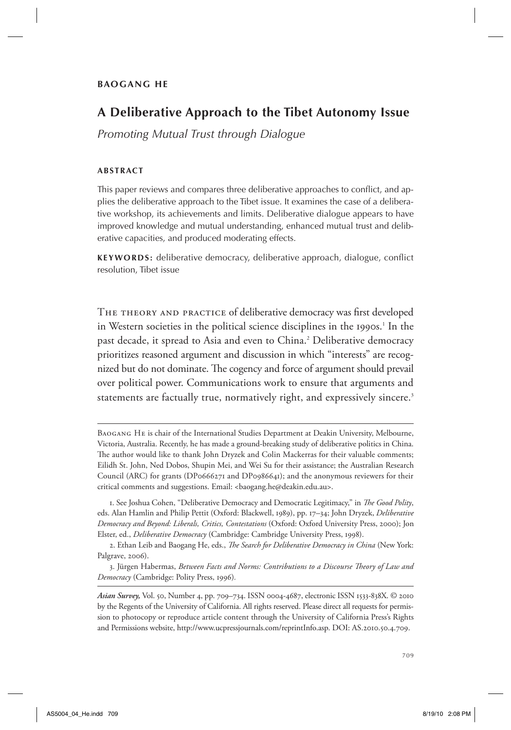# **BAOGANG HE**

# **A Deliberative Approach to the Tibet Autonomy Issue**

*Promoting Mutual Trust through Dialogue*

# **ABSTRACT**

This paper reviews and compares three deliberative approaches to conflict, and applies the deliberative approach to the Tibet issue. It examines the case of a deliberative workshop, its achievements and limits. Deliberative dialogue appears to have improved knowledge and mutual understanding, enhanced mutual trust and deliberative capacities, and produced moderating effects.

**KEYWORDS:** deliberative democracy, deliberative approach, dialogue, conflict resolution, Tibet issue

THE THEORY AND PRACTICE of deliberative democracy was first developed in Western societies in the political science disciplines in the 1990s.<sup>1</sup> In the past decade, it spread to Asia and even to China.2 Deliberative democracy prioritizes reasoned argument and discussion in which "interests" are recognized but do not dominate. The cogency and force of argument should prevail over political power. Communications work to ensure that arguments and statements are factually true, normatively right, and expressively sincere.<sup>3</sup>

Baogang He is chair of the International Studies Department at Deakin University, Melbourne, Victoria, Australia. Recently, he has made a ground-breaking study of deliberative politics in China. The author would like to thank John Dryzek and Colin Mackerras for their valuable comments; Eilidh St. John, Ned Dobos, Shupin Mei, and Wei Su for their assistance; the Australian Research Council (ARC) for grants (DP0666271 and DP0986641); and the anonymous reviewers for their critical comments and suggestions. Email: <br/>baogang.he@deakin.edu.au>.

<sup>1.</sup> See Joshua Cohen, "Deliberative Democracy and Democratic Legitimacy," in *The Good Polity*, eds. Alan Hamlin and Philip Pettit (Oxford: Blackwell, 1989), pp. 17–34; John Dryzek, *Deliberative Democracy and Beyond: Liberals, Critics, Contestations* (Oxford: Oxford University Press, 2000); Jon Elster, ed., *Deliberative Democracy* (Cambridge: Cambridge University Press, 1998).

<sup>2.</sup> Ethan Leib and Baogang He, eds., *The Search for Deliberative Democracy in China* (New York: Palgrave, 2006).

<sup>3.</sup> Jürgen Habermas, *Between Facts and Norms: Contributions to a Discourse Theory of Law and Democracy* (Cambridge: Polity Press, 1996)*.*

*Asian Survey,* Vol. 50, Number 4, pp. 709–734. ISSN 0004-4687, electronic ISSN 1533-838X. © 2010 by the Regents of the University of California. All rights reserved. Please direct all requests for permission to photocopy or reproduce article content through the University of California Press's Rights and Permissions website, http://www.ucpressjournals.com/reprintInfo.asp. DOI: AS.2010.50.4.709.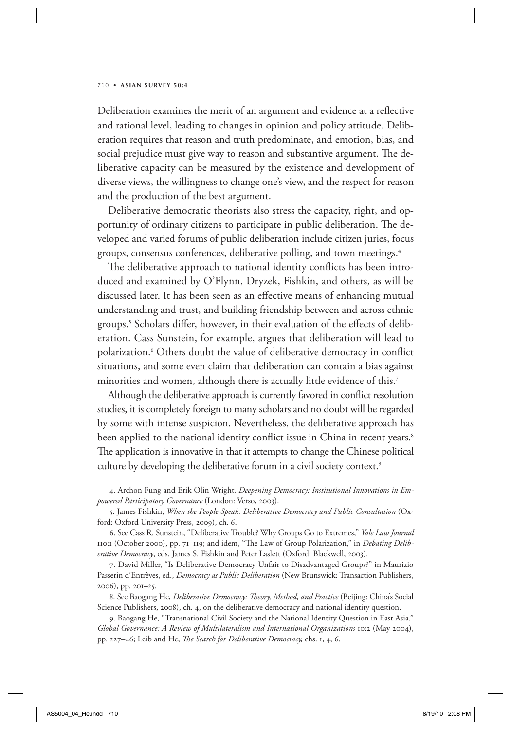Deliberation examines the merit of an argument and evidence at a reflective and rational level, leading to changes in opinion and policy attitude. Deliberation requires that reason and truth predominate, and emotion, bias, and social prejudice must give way to reason and substantive argument. The deliberative capacity can be measured by the existence and development of diverse views, the willingness to change one's view, and the respect for reason and the production of the best argument.

Deliberative democratic theorists also stress the capacity, right, and opportunity of ordinary citizens to participate in public deliberation. The developed and varied forums of public deliberation include citizen juries, focus groups, consensus conferences, deliberative polling, and town meetings.4

The deliberative approach to national identity conflicts has been introduced and examined by O'Flynn, Dryzek, Fishkin, and others, as will be discussed later. It has been seen as an effective means of enhancing mutual understanding and trust, and building friendship between and across ethnic groups.5 Scholars differ, however, in their evaluation of the effects of deliberation. Cass Sunstein, for example, argues that deliberation will lead to polarization.6 Others doubt the value of deliberative democracy in conflict situations, and some even claim that deliberation can contain a bias against minorities and women, although there is actually little evidence of this.<sup>7</sup>

Although the deliberative approach is currently favored in conflict resolution studies, it is completely foreign to many scholars and no doubt will be regarded by some with intense suspicion. Nevertheless, the deliberative approach has been applied to the national identity conflict issue in China in recent years.<sup>8</sup> The application is innovative in that it attempts to change the Chinese political culture by developing the deliberative forum in a civil society context.<sup>9</sup>

4. Archon Fung and Erik Olin Wright, *Deepening Democracy: Institutional Innovations in Empowered Participatory Governance* (London: Verso, 2003).

5. James Fishkin, *When the People Speak: Deliberative Democracy and Public Consultation* (Oxford: Oxford University Press, 2009), ch. 6.

6. See Cass R. Sunstein, "Deliberative Trouble? Why Groups Go to Extremes," *Yale Law Journal*  110:1 (October 2000), pp. 71–119; and idem, "The Law of Group Polarization," in *Debating Deliberative Democracy*, eds. James S. Fishkin and Peter Laslett (Oxford: Blackwell, 2003).

7. David Miller, "Is Deliberative Democracy Unfair to Disadvantaged Groups?" in Maurizio Passerin d'Entrèves, ed., *Democracy as Public Deliberation* (New Brunswick: Transaction Publishers, 2006), pp. 201–25.

8. See Baogang He, *Deliberative Democracy: Theory, Method, and Practice* (Beijing: China's Social Science Publishers, 2008), ch. 4, on the deliberative democracy and national identity question.

9. Baogang He, "Transnational Civil Society and the National Identity Question in East Asia," *Global Governance: A Review of Multilateralism and International Organizations* 10:2 (May 2004), pp. 227–46; Leib and He, *The Search for Deliberative Democracy,* chs. 1, 4, 6.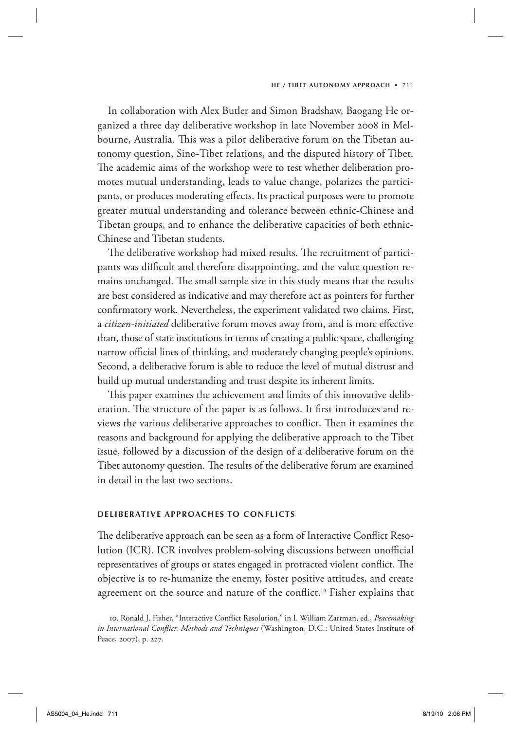In collaboration with Alex Butler and Simon Bradshaw, Baogang He organized a three day deliberative workshop in late November 2008 in Melbourne, Australia. This was a pilot deliberative forum on the Tibetan autonomy question, Sino-Tibet relations, and the disputed history of Tibet. The academic aims of the workshop were to test whether deliberation promotes mutual understanding, leads to value change, polarizes the participants, or produces moderating effects. Its practical purposes were to promote greater mutual understanding and tolerance between ethnic-Chinese and Tibetan groups, and to enhance the deliberative capacities of both ethnic-Chinese and Tibetan students.

The deliberative workshop had mixed results. The recruitment of participants was difficult and therefore disappointing, and the value question remains unchanged. The small sample size in this study means that the results are best considered as indicative and may therefore act as pointers for further confirmatory work. Nevertheless, the experiment validated two claims. First, a *citizen-initiated* deliberative forum moves away from, and is more effective than, those of state institutions in terms of creating a public space, challenging narrow official lines of thinking, and moderately changing people's opinions. Second, a deliberative forum is able to reduce the level of mutual distrust and build up mutual understanding and trust despite its inherent limits.

This paper examines the achievement and limits of this innovative deliberation. The structure of the paper is as follows. It first introduces and reviews the various deliberative approaches to conflict. Then it examines the reasons and background for applying the deliberative approach to the Tibet issue, followed by a discussion of the design of a deliberative forum on the Tibet autonomy question. The results of the deliberative forum are examined in detail in the last two sections.

## **DELIBERATIVE APPROACHES TO CONFLICTS**

The deliberative approach can be seen as a form of Interactive Conflict Resolution (ICR). ICR involves problem-solving discussions between unofficial representatives of groups or states engaged in protracted violent conflict. The objective is to re-humanize the enemy, foster positive attitudes, and create agreement on the source and nature of the conflict.<sup>10</sup> Fisher explains that

<sup>10.</sup> Ronald J. Fisher, "Interactive Conflict Resolution," in I. William Zartman, ed., *Peacemaking in International Conflict: Methods and Techniques* (Washington, D.C.: United States Institute of Peace, 2007), p. 227.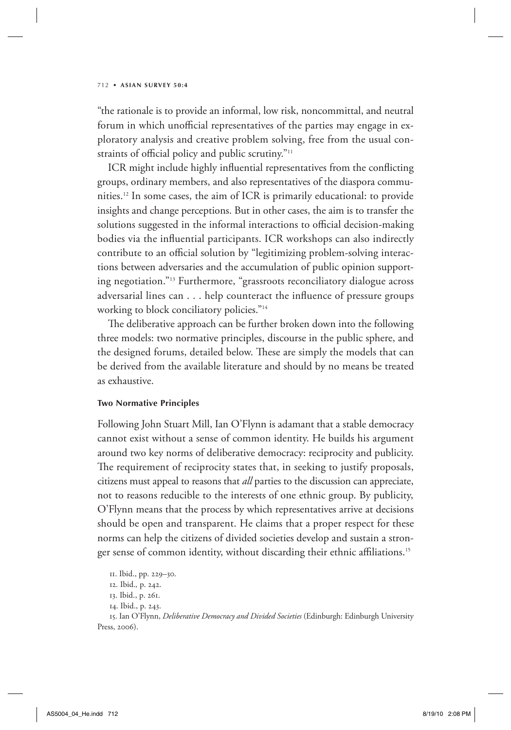"the rationale is to provide an informal, low risk, noncommittal, and neutral forum in which unofficial representatives of the parties may engage in exploratory analysis and creative problem solving, free from the usual constraints of official policy and public scrutiny."<sup>11</sup>

ICR might include highly influential representatives from the conflicting groups, ordinary members, and also representatives of the diaspora communities.12 In some cases, the aim of ICR is primarily educational: to provide insights and change perceptions. But in other cases, the aim is to transfer the solutions suggested in the informal interactions to official decision-making bodies via the influential participants. ICR workshops can also indirectly contribute to an official solution by "legitimizing problem-solving interactions between adversaries and the accumulation of public opinion supporting negotiation."13 Furthermore, "grassroots reconciliatory dialogue across adversarial lines can . . . help counteract the influence of pressure groups working to block conciliatory policies."<sup>14</sup>

The deliberative approach can be further broken down into the following three models: two normative principles, discourse in the public sphere, and the designed forums, detailed below. These are simply the models that can be derived from the available literature and should by no means be treated as exhaustive.

# **Two Normative Principles**

Following John Stuart Mill, Ian O'Flynn is adamant that a stable democracy cannot exist without a sense of common identity. He builds his argument around two key norms of deliberative democracy: reciprocity and publicity. The requirement of reciprocity states that, in seeking to justify proposals, citizens must appeal to reasons that *all* parties to the discussion can appreciate, not to reasons reducible to the interests of one ethnic group. By publicity, O'Flynn means that the process by which representatives arrive at decisions should be open and transparent. He claims that a proper respect for these norms can help the citizens of divided societies develop and sustain a stronger sense of common identity, without discarding their ethnic affiliations.<sup>15</sup>

<sup>11.</sup> Ibid., pp. 229–30.

<sup>12.</sup> Ibid.*,* p. 242.

<sup>13.</sup> Ibid., p. 261.

<sup>14.</sup> Ibid., p. 243.

<sup>15.</sup> Ian O'Flynn, *Deliberative Democracy and Divided Societies* (Edinburgh: Edinburgh University Press, 2006).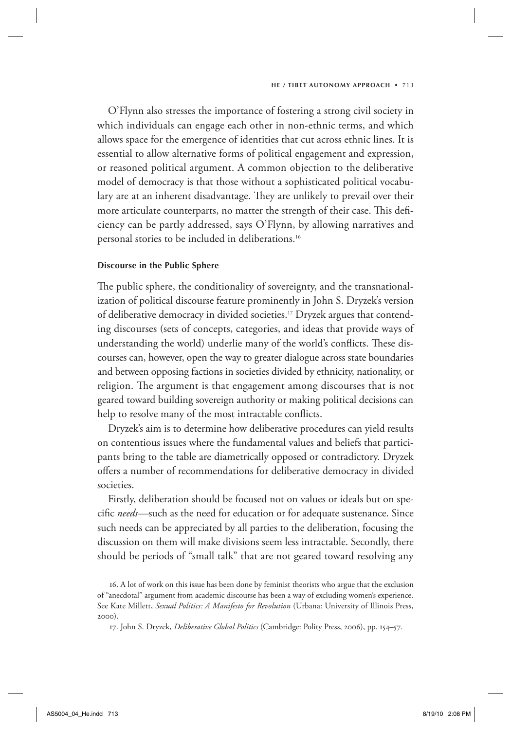O'Flynn also stresses the importance of fostering a strong civil society in which individuals can engage each other in non-ethnic terms, and which allows space for the emergence of identities that cut across ethnic lines. It is essential to allow alternative forms of political engagement and expression, or reasoned political argument. A common objection to the deliberative model of democracy is that those without a sophisticated political vocabulary are at an inherent disadvantage. They are unlikely to prevail over their more articulate counterparts, no matter the strength of their case. This deficiency can be partly addressed, says O'Flynn, by allowing narratives and personal stories to be included in deliberations.<sup>16</sup>

#### **Discourse in the Public Sphere**

The public sphere, the conditionality of sovereignty, and the transnationalization of political discourse feature prominently in John S. Dryzek's version of deliberative democracy in divided societies.17 Dryzek argues that contending discourses (sets of concepts, categories, and ideas that provide ways of understanding the world) underlie many of the world's conflicts. These discourses can, however, open the way to greater dialogue across state boundaries and between opposing factions in societies divided by ethnicity, nationality, or religion. The argument is that engagement among discourses that is not geared toward building sovereign authority or making political decisions can help to resolve many of the most intractable conflicts.

Dryzek's aim is to determine how deliberative procedures can yield results on contentious issues where the fundamental values and beliefs that participants bring to the table are diametrically opposed or contradictory. Dryzek offers a number of recommendations for deliberative democracy in divided societies.

Firstly, deliberation should be focused not on values or ideals but on specific *needs—*such as the need for education or for adequate sustenance. Since such needs can be appreciated by all parties to the deliberation, focusing the discussion on them will make divisions seem less intractable. Secondly, there should be periods of "small talk" that are not geared toward resolving any

<sup>16.</sup> A lot of work on this issue has been done by feminist theorists who argue that the exclusion of "anecdotal" argument from academic discourse has been a way of excluding women's experience. See Kate Millett, *Sexual Politics: A Manifesto for Revolution* (Urbana: University of Illinois Press, 2000).

<sup>17.</sup> John S. Dryzek, *Deliberative Global Politics* (Cambridge: Polity Press, 2006), pp. 154–57.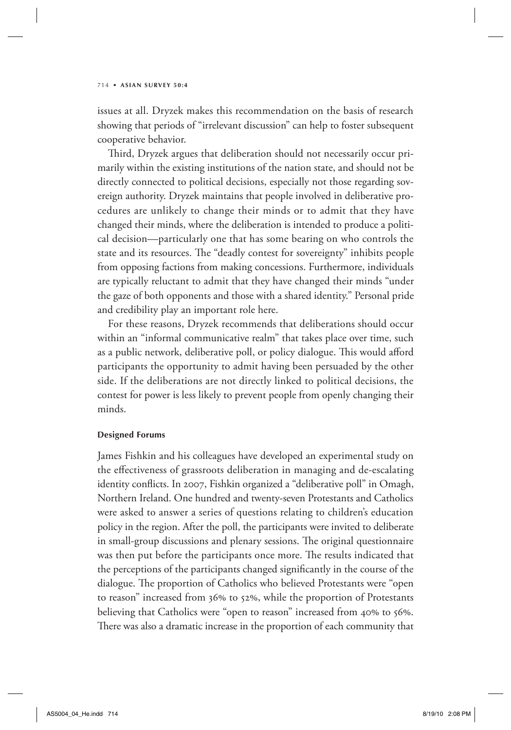issues at all. Dryzek makes this recommendation on the basis of research showing that periods of "irrelevant discussion" can help to foster subsequent cooperative behavior.

Third, Dryzek argues that deliberation should not necessarily occur primarily within the existing institutions of the nation state, and should not be directly connected to political decisions, especially not those regarding sovereign authority. Dryzek maintains that people involved in deliberative procedures are unlikely to change their minds or to admit that they have changed their minds, where the deliberation is intended to produce a political decision—particularly one that has some bearing on who controls the state and its resources. The "deadly contest for sovereignty" inhibits people from opposing factions from making concessions. Furthermore, individuals are typically reluctant to admit that they have changed their minds "under the gaze of both opponents and those with a shared identity." Personal pride and credibility play an important role here.

For these reasons, Dryzek recommends that deliberations should occur within an "informal communicative realm" that takes place over time, such as a public network, deliberative poll, or policy dialogue. This would afford participants the opportunity to admit having been persuaded by the other side. If the deliberations are not directly linked to political decisions, the contest for power is less likely to prevent people from openly changing their minds.

# **Designed Forums**

James Fishkin and his colleagues have developed an experimental study on the effectiveness of grassroots deliberation in managing and de-escalating identity conflicts. In 2007, Fishkin organized a "deliberative poll" in Omagh, Northern Ireland. One hundred and twenty-seven Protestants and Catholics were asked to answer a series of questions relating to children's education policy in the region. After the poll, the participants were invited to deliberate in small-group discussions and plenary sessions. The original questionnaire was then put before the participants once more. The results indicated that the perceptions of the participants changed significantly in the course of the dialogue. The proportion of Catholics who believed Protestants were "open to reason" increased from 36% to 52%, while the proportion of Protestants believing that Catholics were "open to reason" increased from 40% to 56%. There was also a dramatic increase in the proportion of each community that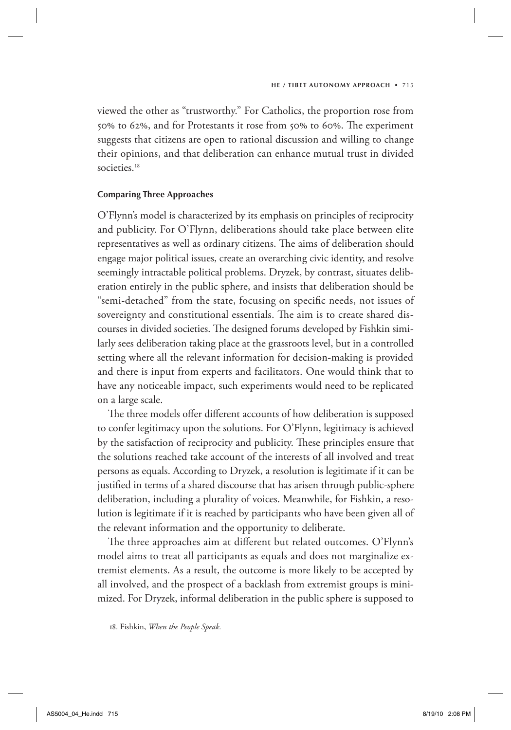viewed the other as "trustworthy." For Catholics, the proportion rose from 50% to 62%, and for Protestants it rose from 50% to 60%. The experiment suggests that citizens are open to rational discussion and willing to change their opinions, and that deliberation can enhance mutual trust in divided societies.<sup>18</sup>

# **Comparing Three Approaches**

O'Flynn's model is characterized by its emphasis on principles of reciprocity and publicity. For O'Flynn, deliberations should take place between elite representatives as well as ordinary citizens. The aims of deliberation should engage major political issues, create an overarching civic identity, and resolve seemingly intractable political problems. Dryzek, by contrast, situates deliberation entirely in the public sphere, and insists that deliberation should be "semi-detached" from the state, focusing on specific needs, not issues of sovereignty and constitutional essentials. The aim is to create shared discourses in divided societies. The designed forums developed by Fishkin similarly sees deliberation taking place at the grassroots level, but in a controlled setting where all the relevant information for decision-making is provided and there is input from experts and facilitators. One would think that to have any noticeable impact, such experiments would need to be replicated on a large scale.

The three models offer different accounts of how deliberation is supposed to confer legitimacy upon the solutions. For O'Flynn, legitimacy is achieved by the satisfaction of reciprocity and publicity. These principles ensure that the solutions reached take account of the interests of all involved and treat persons as equals. According to Dryzek, a resolution is legitimate if it can be justified in terms of a shared discourse that has arisen through public-sphere deliberation, including a plurality of voices. Meanwhile, for Fishkin, a resolution is legitimate if it is reached by participants who have been given all of the relevant information and the opportunity to deliberate.

The three approaches aim at different but related outcomes. O'Flynn's model aims to treat all participants as equals and does not marginalize extremist elements. As a result, the outcome is more likely to be accepted by all involved, and the prospect of a backlash from extremist groups is minimized. For Dryzek, informal deliberation in the public sphere is supposed to

<sup>18.</sup> Fishkin, *When the People Speak.*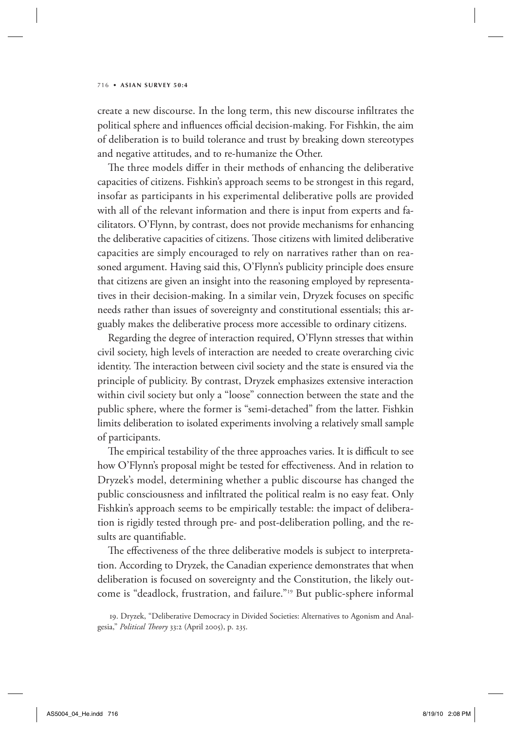create a new discourse. In the long term, this new discourse infiltrates the political sphere and influences official decision-making. For Fishkin, the aim of deliberation is to build tolerance and trust by breaking down stereotypes and negative attitudes, and to re-humanize the Other.

The three models differ in their methods of enhancing the deliberative capacities of citizens. Fishkin's approach seems to be strongest in this regard, insofar as participants in his experimental deliberative polls are provided with all of the relevant information and there is input from experts and facilitators. O'Flynn, by contrast, does not provide mechanisms for enhancing the deliberative capacities of citizens. Those citizens with limited deliberative capacities are simply encouraged to rely on narratives rather than on reasoned argument. Having said this, O'Flynn's publicity principle does ensure that citizens are given an insight into the reasoning employed by representatives in their decision-making. In a similar vein, Dryzek focuses on specific needs rather than issues of sovereignty and constitutional essentials; this arguably makes the deliberative process more accessible to ordinary citizens.

Regarding the degree of interaction required, O'Flynn stresses that within civil society, high levels of interaction are needed to create overarching civic identity. The interaction between civil society and the state is ensured via the principle of publicity. By contrast, Dryzek emphasizes extensive interaction within civil society but only a "loose" connection between the state and the public sphere, where the former is "semi-detached" from the latter. Fishkin limits deliberation to isolated experiments involving a relatively small sample of participants.

The empirical testability of the three approaches varies. It is difficult to see how O'Flynn's proposal might be tested for effectiveness. And in relation to Dryzek's model, determining whether a public discourse has changed the public consciousness and infiltrated the political realm is no easy feat. Only Fishkin's approach seems to be empirically testable: the impact of deliberation is rigidly tested through pre- and post-deliberation polling, and the results are quantifiable.

The effectiveness of the three deliberative models is subject to interpretation. According to Dryzek, the Canadian experience demonstrates that when deliberation is focused on sovereignty and the Constitution, the likely outcome is "deadlock, frustration, and failure."19 But public-sphere informal

<sup>19.</sup> Dryzek, "Deliberative Democracy in Divided Societies: Alternatives to Agonism and Analgesia," *Political Theory* 33:2 (April 2005), p. 235.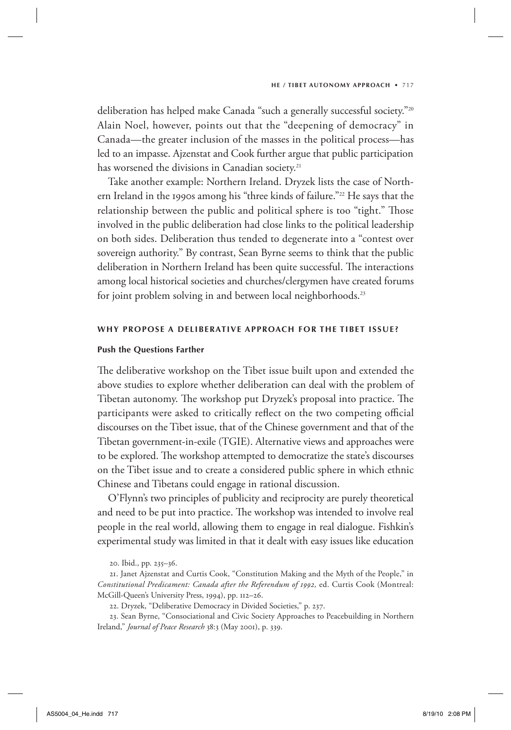deliberation has helped make Canada "such a generally successful society."20 Alain Noel, however, points out that the "deepening of democracy" in Canada—the greater inclusion of the masses in the political process—has led to an impasse. Ajzenstat and Cook further argue that public participation has worsened the divisions in Canadian society.<sup>21</sup>

Take another example: Northern Ireland. Dryzek lists the case of Northern Ireland in the 1990s among his "three kinds of failure."22 He says that the relationship between the public and political sphere is too "tight." Those involved in the public deliberation had close links to the political leadership on both sides. Deliberation thus tended to degenerate into a "contest over sovereign authority." By contrast, Sean Byrne seems to think that the public deliberation in Northern Ireland has been quite successful. The interactions among local historical societies and churches/clergymen have created forums for joint problem solving in and between local neighborhoods.<sup>23</sup>

#### **WHY PROPOSE A DELIBERATIVE APPROACH FOR THE TIBET ISSUE?**

#### **Push the Questions Farther**

The deliberative workshop on the Tibet issue built upon and extended the above studies to explore whether deliberation can deal with the problem of Tibetan autonomy. The workshop put Dryzek's proposal into practice. The participants were asked to critically reflect on the two competing official discourses on the Tibet issue, that of the Chinese government and that of the Tibetan government-in-exile (TGIE). Alternative views and approaches were to be explored. The workshop attempted to democratize the state's discourses on the Tibet issue and to create a considered public sphere in which ethnic Chinese and Tibetans could engage in rational discussion.

O'Flynn's two principles of publicity and reciprocity are purely theoretical and need to be put into practice. The workshop was intended to involve real people in the real world, allowing them to engage in real dialogue. Fishkin's experimental study was limited in that it dealt with easy issues like education

<sup>20.</sup> Ibid., pp. 235–36.

<sup>21.</sup> Janet Ajzenstat and Curtis Cook, "Constitution Making and the Myth of the People," in *Constitutional Predicament: Canada after the Referendum of 1992,* ed. Curtis Cook (Montreal: McGill-Queen's University Press, 1994), pp. 112–26.

<sup>22.</sup> Dryzek, "Deliberative Democracy in Divided Societies," p. 237.

<sup>23.</sup> Sean Byrne, "Consociational and Civic Society Approaches to Peacebuilding in Northern Ireland," *Journal of Peace Research* 38:3 (May 2001), p. 339.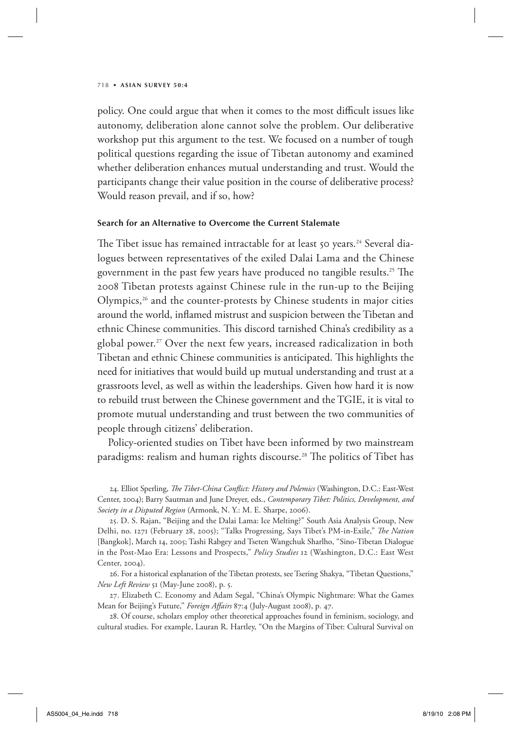policy. One could argue that when it comes to the most difficult issues like autonomy, deliberation alone cannot solve the problem. Our deliberative workshop put this argument to the test. We focused on a number of tough political questions regarding the issue of Tibetan autonomy and examined whether deliberation enhances mutual understanding and trust. Would the participants change their value position in the course of deliberative process? Would reason prevail, and if so, how?

# **Search for an Alternative to Overcome the Current Stalemate**

The Tibet issue has remained intractable for at least 50 years.<sup>24</sup> Several dialogues between representatives of the exiled Dalai Lama and the Chinese government in the past few years have produced no tangible results.25 The 2008 Tibetan protests against Chinese rule in the run-up to the Beijing Olympics,<sup>26</sup> and the counter-protests by Chinese students in major cities around the world, inflamed mistrust and suspicion between the Tibetan and ethnic Chinese communities. This discord tarnished China's credibility as a global power.<sup>27</sup> Over the next few years, increased radicalization in both Tibetan and ethnic Chinese communities is anticipated. This highlights the need for initiatives that would build up mutual understanding and trust at a grassroots level, as well as within the leaderships. Given how hard it is now to rebuild trust between the Chinese government and the TGIE, it is vital to promote mutual understanding and trust between the two communities of people through citizens' deliberation.

Policy-oriented studies on Tibet have been informed by two mainstream paradigms: realism and human rights discourse.28 The politics of Tibet has

24. Elliot Sperling, *The Tibet-China Conflict: History and Polemics* (Washington, D.C.: East-West Center, 2004); Barry Sautman and June Dreyer, eds., *Contemporary Tibet: Politics, Development, and Society in a Disputed Region* (Armonk, N. Y.: M. E. Sharpe, 2006).

25. D. S. Rajan, "Beijing and the Dalai Lama: Ice Melting?" South Asia Analysis Group, New Delhi, no. 1271 (February 28, 2005); "Talks Progressing, Says Tibet's PM-in-Exile," *The Nation* [Bangkok], March 14, 2005; Tashi Rabgey and Tseten Wangchuk Sharlho, "Sino-Tibetan Dialogue in the Post-Mao Era: Lessons and Prospects," *Policy Studies* 12 (Washington, D.C.: East West Center, 2004).

26. For a historical explanation of the Tibetan protests, see Tsering Shakya, "Tibetan Questions," *New Left Review* 51 (May-June 2008), p. 5.

27. Elizabeth C. Economy and Adam Segal, "China's Olympic Nightmare: What the Games Mean for Beijing's Future," *Foreign Affairs* 87:4 (July-August 2008), p. 47.

28. Of course, scholars employ other theoretical approaches found in feminism, sociology, and cultural studies. For example, Lauran R. Hartley, "On the Margins of Tibet: Cultural Survival on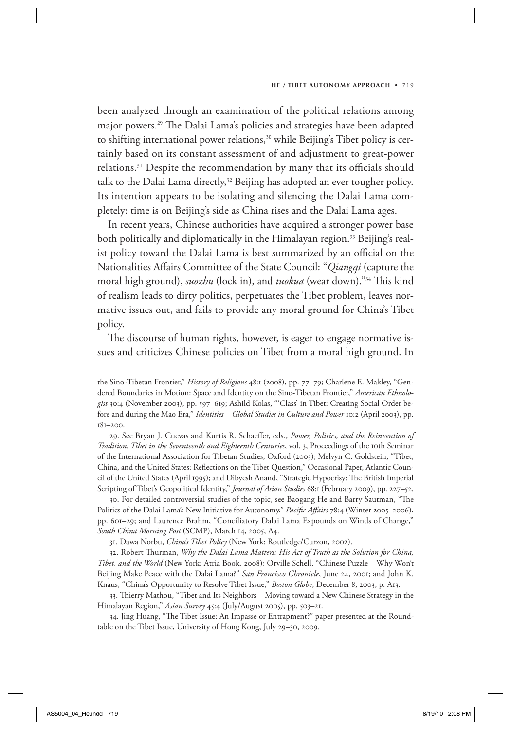been analyzed through an examination of the political relations among major powers.29 The Dalai Lama's policies and strategies have been adapted to shifting international power relations,<sup>30</sup> while Beijing's Tibet policy is certainly based on its constant assessment of and adjustment to great-power relations.31 Despite the recommendation by many that its officials should talk to the Dalai Lama directly,<sup>32</sup> Beijing has adopted an ever tougher policy. Its intention appears to be isolating and silencing the Dalai Lama completely: time is on Beijing's side as China rises and the Dalai Lama ages.

In recent years, Chinese authorities have acquired a stronger power base both politically and diplomatically in the Himalayan region.<sup>33</sup> Beijing's realist policy toward the Dalai Lama is best summarized by an official on the Nationalities Affairs Committee of the State Council: "*Qiangqi* (capture the moral high ground), *suozhu* (lock in), and *tuokua* (wear down)."34 This kind of realism leads to dirty politics, perpetuates the Tibet problem, leaves normative issues out, and fails to provide any moral ground for China's Tibet policy.

The discourse of human rights, however, is eager to engage normative issues and criticizes Chinese policies on Tibet from a moral high ground. In

30. For detailed controversial studies of the topic, see Baogang He and Barry Sautman, "The Politics of the Dalai Lama's New Initiative for Autonomy," *Pacific Affairs* 78:4 (Winter 2005–2006), pp. 601–29; and Laurence Brahm, "Conciliatory Dalai Lama Expounds on Winds of Change," *South China Morning Post* (SCMP), March 14, 2005, A4.

the Sino-Tibetan Frontier," *History of Religions* 48:1 (2008), pp. 77–79; Charlene E. Makley, "Gendered Boundaries in Motion: Space and Identity on the Sino-Tibetan Frontier," *American Ethnologist* 30:4 (November 2003), pp. 597–619; Ashild Kolas, "'Class' in Tibet: Creating Social Order before and during the Mao Era," *Identities––Global Studies in Culture and Power* 10:2 (April 2003), pp. 181–200.

<sup>29.</sup> See Bryan J. Cuevas and Kurtis R. Schaeffer, eds., *Power, Politics, and the Reinvention of Tradition: Tibet in the Seventeenth and Eighteenth Centuries*, vol. 3, Proceedings of the 10th Seminar of the International Association for Tibetan Studies, Oxford (2003); Melvyn C. Goldstein, "Tibet, China, and the United States: Reflections on the Tibet Question," Occasional Paper, Atlantic Council of the United States (April 1995); and Dibyesh Anand, "Strategic Hypocrisy: The British Imperial Scripting of Tibet's Geopolitical Identity," *Journal of Asian Studies* 68:1 (February 2009), pp. 227–52.

<sup>31.</sup> Dawa Norbu, *China's Tibet Policy* (New York: Routledge/Curzon, 2002).

<sup>32.</sup> Robert Thurman, *Why the Dalai Lama Matters: His Act of Truth as the Solution for China, Tibet, and the World* (New York: Atria Book, 2008); Orville Schell, "Chinese Puzzle––Why Won't Beijing Make Peace with the Dalai Lama?" *San Francisco Chronicle*, June 24, 2001; and John K. Knaus, "China's Opportunity to Resolve Tibet Issue," *Boston Globe*, December 8, 2003, p. A13.

<sup>33.</sup> Thierry Mathou, "Tibet and Its Neighbors––Moving toward a New Chinese Strategy in the Himalayan Region," *Asian Survey* 45:4 (July/August 2005), pp. 503–21.

<sup>34.</sup> Jing Huang, "The Tibet Issue: An Impasse or Entrapment?" paper presented at the Roundtable on the Tibet Issue, University of Hong Kong, July 29–30, 2009.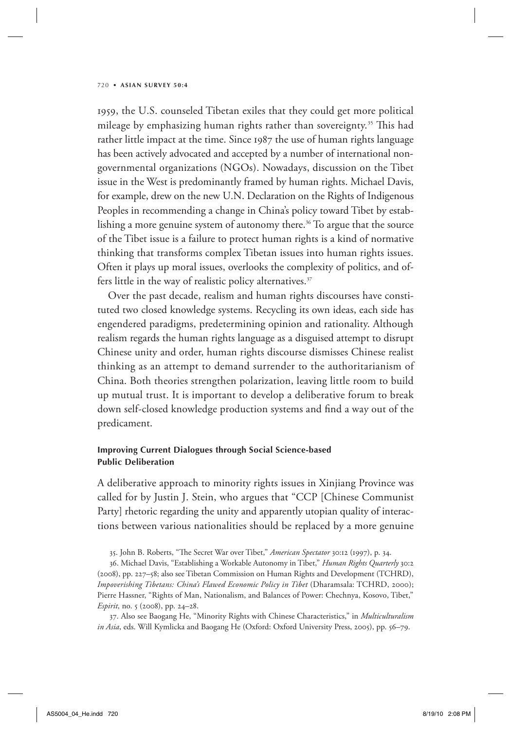1959, the U.S. counseled Tibetan exiles that they could get more political mileage by emphasizing human rights rather than sovereignty.<sup>35</sup> This had rather little impact at the time. Since 1987 the use of human rights language has been actively advocated and accepted by a number of international nongovernmental organizations (NGOs). Nowadays, discussion on the Tibet issue in the West is predominantly framed by human rights. Michael Davis, for example, drew on the new U.N. Declaration on the Rights of Indigenous Peoples in recommending a change in China's policy toward Tibet by establishing a more genuine system of autonomy there.<sup>36</sup> To argue that the source of the Tibet issue is a failure to protect human rights is a kind of normative thinking that transforms complex Tibetan issues into human rights issues. Often it plays up moral issues, overlooks the complexity of politics, and offers little in the way of realistic policy alternatives.<sup>37</sup>

Over the past decade, realism and human rights discourses have constituted two closed knowledge systems. Recycling its own ideas, each side has engendered paradigms, predetermining opinion and rationality. Although realism regards the human rights language as a disguised attempt to disrupt Chinese unity and order, human rights discourse dismisses Chinese realist thinking as an attempt to demand surrender to the authoritarianism of China. Both theories strengthen polarization, leaving little room to build up mutual trust. It is important to develop a deliberative forum to break down self-closed knowledge production systems and find a way out of the predicament.

# **Improving Current Dialogues through Social Science-based Public Deliberation**

A deliberative approach to minority rights issues in Xinjiang Province was called for by Justin J. Stein, who argues that "CCP [Chinese Communist Party] rhetoric regarding the unity and apparently utopian quality of interactions between various nationalities should be replaced by a more genuine

35. John B. Roberts, "The Secret War over Tibet," *American Spectator* 30:12 (1997), p. 34.

36. Michael Davis, "Establishing a Workable Autonomy in Tibet," *Human Rights Quarterly* 30:2 (2008), pp. 227–58; also see Tibetan Commission on Human Rights and Development (TCHRD), *Impoverishing Tibetans: China's Flawed Economic Policy in Tibet* (Dharamsala: TCHRD, 2000); Pierre Hassner, "Rights of Man, Nationalism, and Balances of Power: Chechnya, Kosovo, Tibet," *Espirit*, no. 5 (2008), pp. 24–28.

37. Also see Baogang He, "Minority Rights with Chinese Characteristics," in *Multiculturalism in Asia*, eds. Will Kymlicka and Baogang He (Oxford: Oxford University Press, 2005), pp. 56–79.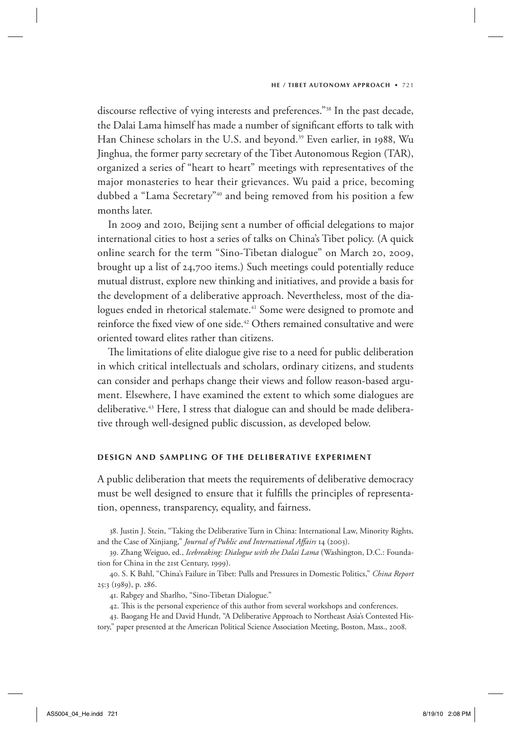discourse reflective of vying interests and preferences."38 In the past decade, the Dalai Lama himself has made a number of significant efforts to talk with Han Chinese scholars in the U.S. and beyond.<sup>39</sup> Even earlier, in 1988, Wu Jinghua, the former party secretary of the Tibet Autonomous Region (TAR), organized a series of "heart to heart" meetings with representatives of the major monasteries to hear their grievances. Wu paid a price, becoming dubbed a "Lama Secretary"40 and being removed from his position a few months later.

In 2009 and 2010, Beijing sent a number of official delegations to major international cities to host a series of talks on China's Tibet policy. (A quick online search for the term "Sino-Tibetan dialogue" on March 20, 2009, brought up a list of 24,700 items.) Such meetings could potentially reduce mutual distrust, explore new thinking and initiatives, and provide a basis for the development of a deliberative approach. Nevertheless, most of the dialogues ended in rhetorical stalemate.<sup>41</sup> Some were designed to promote and reinforce the fixed view of one side.<sup>42</sup> Others remained consultative and were oriented toward elites rather than citizens.

The limitations of elite dialogue give rise to a need for public deliberation in which critical intellectuals and scholars, ordinary citizens, and students can consider and perhaps change their views and follow reason-based argument. Elsewhere, I have examined the extent to which some dialogues are deliberative.43 Here, I stress that dialogue can and should be made deliberative through well-designed public discussion, as developed below.

## **DESIGN AND SAMPLING OF THE DELIBERATIVE EXPERIMENT**

A public deliberation that meets the requirements of deliberative democracy must be well designed to ensure that it fulfills the principles of representation, openness, transparency, equality, and fairness.

38. Justin J. Stein, "Taking the Deliberative Turn in China: International Law, Minority Rights, and the Case of Xinjiang," *Journal of Public and International Affairs* 14 (2003).

39. Zhang Weiguo, ed., *Icebreaking: Dialogue with the Dalai Lama* (Washington, D.C.: Foundation for China in the 21st Century, 1999).

40. S. K Bahl, "China's Failure in Tibet: Pulls and Pressures in Domestic Politics," *China Report* 25:3 (1989), p. 286.

41. Rabgey and Sharlho, "Sino-Tibetan Dialogue."

42. This is the personal experience of this author from several workshops and conferences.

43. Baogang He and David Hundt, "A Deliberative Approach to Northeast Asia's Contested History," paper presented at the American Political Science Association Meeting, Boston, Mass., 2008.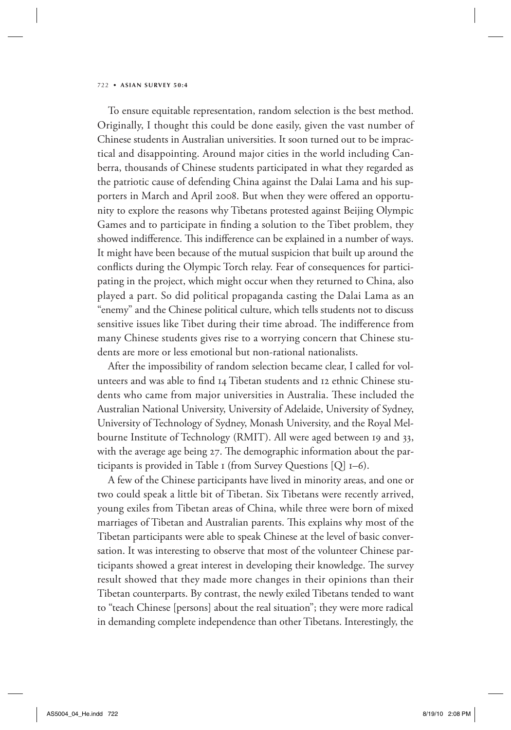To ensure equitable representation, random selection is the best method. Originally, I thought this could be done easily, given the vast number of Chinese students in Australian universities. It soon turned out to be impractical and disappointing. Around major cities in the world including Canberra, thousands of Chinese students participated in what they regarded as the patriotic cause of defending China against the Dalai Lama and his supporters in March and April 2008. But when they were offered an opportunity to explore the reasons why Tibetans protested against Beijing Olympic Games and to participate in finding a solution to the Tibet problem, they showed indifference. This indifference can be explained in a number of ways. It might have been because of the mutual suspicion that built up around the conflicts during the Olympic Torch relay. Fear of consequences for participating in the project, which might occur when they returned to China, also played a part. So did political propaganda casting the Dalai Lama as an "enemy" and the Chinese political culture, which tells students not to discuss sensitive issues like Tibet during their time abroad. The indifference from many Chinese students gives rise to a worrying concern that Chinese students are more or less emotional but non-rational nationalists.

After the impossibility of random selection became clear, I called for volunteers and was able to find 14 Tibetan students and 12 ethnic Chinese students who came from major universities in Australia. These included the Australian National University, University of Adelaide, University of Sydney, University of Technology of Sydney, Monash University, and the Royal Melbourne Institute of Technology (RMIT). All were aged between 19 and 33, with the average age being 27. The demographic information about the participants is provided in Table 1 (from Survey Questions [Q] 1–6).

A few of the Chinese participants have lived in minority areas, and one or two could speak a little bit of Tibetan. Six Tibetans were recently arrived, young exiles from Tibetan areas of China, while three were born of mixed marriages of Tibetan and Australian parents. This explains why most of the Tibetan participants were able to speak Chinese at the level of basic conversation. It was interesting to observe that most of the volunteer Chinese participants showed a great interest in developing their knowledge. The survey result showed that they made more changes in their opinions than their Tibetan counterparts. By contrast, the newly exiled Tibetans tended to want to "teach Chinese [persons] about the real situation"; they were more radical in demanding complete independence than other Tibetans. Interestingly, the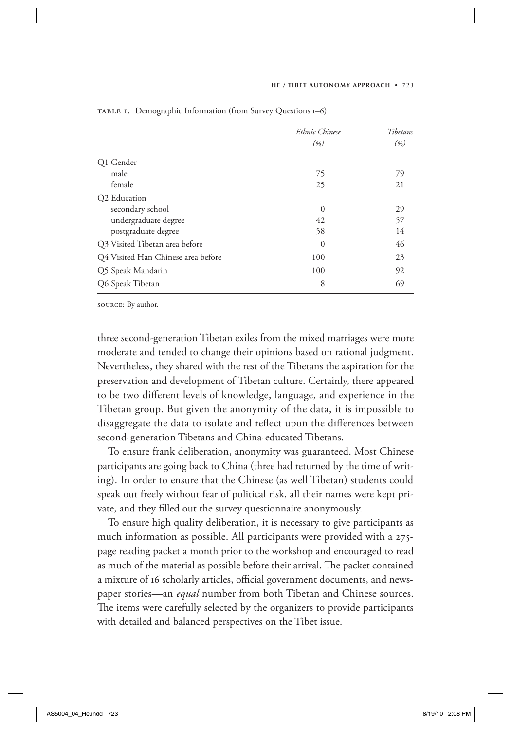|                                    | Ethnic Chinese<br>(%) | Tibetans<br>(%) |  |
|------------------------------------|-----------------------|-----------------|--|
| Q1 Gender                          |                       |                 |  |
| male                               | 75                    | 79              |  |
| female                             | 25                    | 21              |  |
| Q2 Education                       |                       |                 |  |
| secondary school                   | $\Omega$              | 29              |  |
| undergraduate degree               | 42                    | 57              |  |
| postgraduate degree                | 58                    | 14              |  |
| Q3 Visited Tibetan area before     | $\Omega$              | 46              |  |
| Q4 Visited Han Chinese area before | 100                   | 23              |  |
| Q5 Speak Mandarin                  | 100                   | 92              |  |
| Q6 Speak Tibetan                   | 8                     | 69              |  |

TABLE 1. Demographic Information (from Survey Questions 1–6)

source: By author.

three second-generation Tibetan exiles from the mixed marriages were more moderate and tended to change their opinions based on rational judgment. Nevertheless, they shared with the rest of the Tibetans the aspiration for the preservation and development of Tibetan culture. Certainly, there appeared to be two different levels of knowledge, language, and experience in the Tibetan group. But given the anonymity of the data, it is impossible to disaggregate the data to isolate and reflect upon the differences between second-generation Tibetans and China-educated Tibetans.

To ensure frank deliberation, anonymity was guaranteed. Most Chinese participants are going back to China (three had returned by the time of writing). In order to ensure that the Chinese (as well Tibetan) students could speak out freely without fear of political risk, all their names were kept private, and they filled out the survey questionnaire anonymously.

To ensure high quality deliberation, it is necessary to give participants as much information as possible. All participants were provided with a 275 page reading packet a month prior to the workshop and encouraged to read as much of the material as possible before their arrival. The packet contained a mixture of 16 scholarly articles, official government documents, and newspaper stories—an *equal* number from both Tibetan and Chinese sources. The items were carefully selected by the organizers to provide participants with detailed and balanced perspectives on the Tibet issue.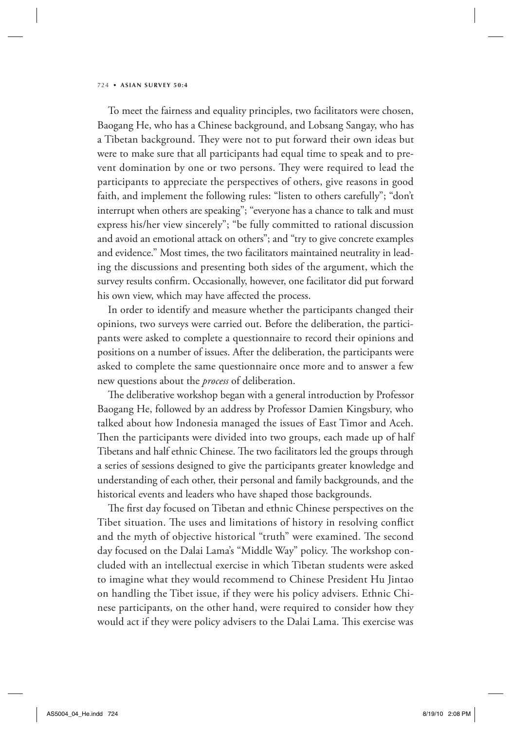To meet the fairness and equality principles, two facilitators were chosen, Baogang He, who has a Chinese background, and Lobsang Sangay, who has a Tibetan background. They were not to put forward their own ideas but were to make sure that all participants had equal time to speak and to prevent domination by one or two persons. They were required to lead the participants to appreciate the perspectives of others, give reasons in good faith, and implement the following rules: "listen to others carefully"; "don't interrupt when others are speaking"; "everyone has a chance to talk and must express his/her view sincerely"; "be fully committed to rational discussion and avoid an emotional attack on others"; and "try to give concrete examples and evidence." Most times, the two facilitators maintained neutrality in leading the discussions and presenting both sides of the argument, which the survey results confirm. Occasionally, however, one facilitator did put forward his own view, which may have affected the process.

In order to identify and measure whether the participants changed their opinions, two surveys were carried out. Before the deliberation, the participants were asked to complete a questionnaire to record their opinions and positions on a number of issues. After the deliberation, the participants were asked to complete the same questionnaire once more and to answer a few new questions about the *process* of deliberation.

The deliberative workshop began with a general introduction by Professor Baogang He, followed by an address by Professor Damien Kingsbury, who talked about how Indonesia managed the issues of East Timor and Aceh. Then the participants were divided into two groups, each made up of half Tibetans and half ethnic Chinese. The two facilitators led the groups through a series of sessions designed to give the participants greater knowledge and understanding of each other, their personal and family backgrounds, and the historical events and leaders who have shaped those backgrounds.

The first day focused on Tibetan and ethnic Chinese perspectives on the Tibet situation. The uses and limitations of history in resolving conflict and the myth of objective historical "truth" were examined. The second day focused on the Dalai Lama's "Middle Way" policy. The workshop concluded with an intellectual exercise in which Tibetan students were asked to imagine what they would recommend to Chinese President Hu Jintao on handling the Tibet issue, if they were his policy advisers. Ethnic Chinese participants, on the other hand, were required to consider how they would act if they were policy advisers to the Dalai Lama. This exercise was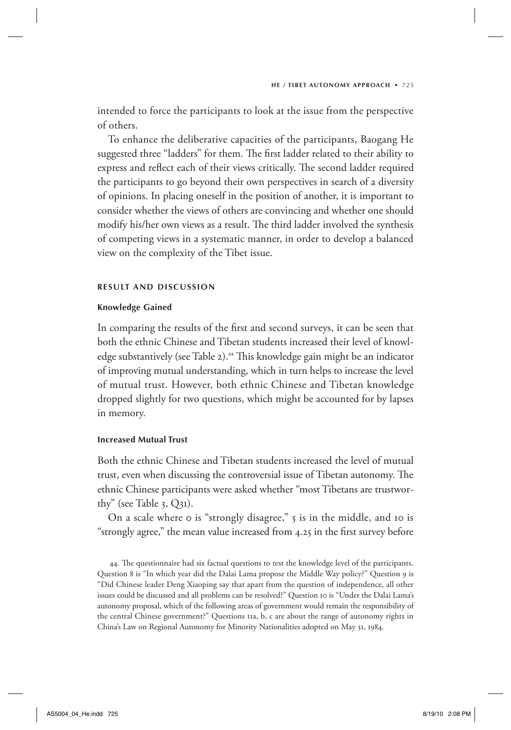intended to force the participants to look at the issue from the perspective of others.

To enhance the deliberative capacities of the participants, Baogang He suggested three "ladders" for them. The first ladder related to their ability to express and reflect each of their views critically. The second ladder required the participants to go beyond their own perspectives in search of a diversity of opinions. In placing oneself in the position of another, it is important to consider whether the views of others are convincing and whether one should modify his/her own views as a result. The third ladder involved the synthesis of competing views in a systematic manner, in order to develop a balanced view on the complexity of the Tibet issue.

# **RESULT AND DISCUSSION**

#### **Knowledge Gained**

In comparing the results of the first and second surveys, it can be seen that both the ethnic Chinese and Tibetan students increased their level of knowledge substantively (see Table 2).<sup>44</sup> This knowledge gain might be an indicator of improving mutual understanding, which in turn helps to increase the level of mutual trust. However, both ethnic Chinese and Tibetan knowledge dropped slightly for two questions, which might be accounted for by lapses in memory.

# **Increased Mutual Trust**

Both the ethnic Chinese and Tibetan students increased the level of mutual trust, even when discussing the controversial issue of Tibetan autonomy. The ethnic Chinese participants were asked whether "most Tibetans are trustworthy" (see Table 3,  $Q_{3I}$ ).

On a scale where 0 is "strongly disagree," 5 is in the middle, and 10 is "strongly agree," the mean value increased from 4.25 in the first survey before

44. The questionnaire had six factual questions to test the knowledge level of the participants. Question 8 is "In which year did the Dalai Lama propose the Middle Way policy?" Question 9 is "Did Chinese leader Deng Xiaoping say that apart from the question of independence, all other issues could be discussed and all problems can be resolved?" Question 10 is "Under the Dalai Lama's autonomy proposal, which of the following areas of government would remain the responsibility of the central Chinese government?" Questions 11a, b, c are about the range of autonomy rights in China's Law on Regional Autonomy for Minority Nationalities adopted on May 31, 1984.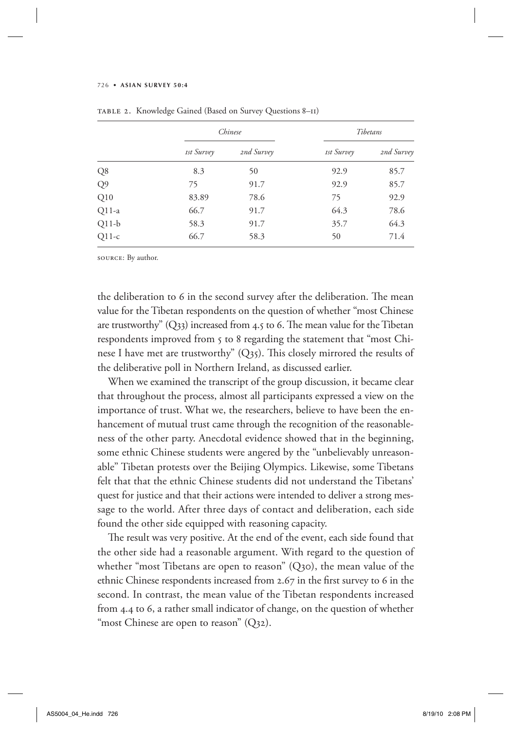#### 726 **• asian survey 50:4**

|                | Chinese           |            | Tibetans          |            |  |
|----------------|-------------------|------------|-------------------|------------|--|
|                | <b>Ist Survey</b> | 2nd Survey | <b>Ist Survey</b> | 2nd Survey |  |
| Q8             | 8.3               | 50         | 92.9              | 85.7       |  |
| Q <sub>9</sub> | 75                | 91.7       | 92.9              | 85.7       |  |
| Q10            | 83.89             | 78.6       | 75                | 92.9       |  |
| $Q11-a$        | 66.7              | 91.7       | 64.3              | 78.6       |  |
| $Q11-b$        | 58.3              | 91.7       | 35.7              | 64.3       |  |
| $Q11-c$        | 66.7              | 58.3       | 50                | 71.4       |  |

table 2. Knowledge Gained (Based on Survey Questions 8–11)

source: By author.

the deliberation to 6 in the second survey after the deliberation. The mean value for the Tibetan respondents on the question of whether "most Chinese are trustworthy"  $(Q_{33})$  increased from 4.5 to 6. The mean value for the Tibetan respondents improved from 5 to 8 regarding the statement that "most Chinese I have met are trustworthy" (Q35). This closely mirrored the results of the deliberative poll in Northern Ireland, as discussed earlier.

When we examined the transcript of the group discussion, it became clear that throughout the process, almost all participants expressed a view on the importance of trust. What we, the researchers, believe to have been the enhancement of mutual trust came through the recognition of the reasonableness of the other party. Anecdotal evidence showed that in the beginning, some ethnic Chinese students were angered by the "unbelievably unreasonable" Tibetan protests over the Beijing Olympics. Likewise, some Tibetans felt that that the ethnic Chinese students did not understand the Tibetans' quest for justice and that their actions were intended to deliver a strong message to the world. After three days of contact and deliberation, each side found the other side equipped with reasoning capacity.

The result was very positive. At the end of the event, each side found that the other side had a reasonable argument. With regard to the question of whether "most Tibetans are open to reason" (Q30), the mean value of the ethnic Chinese respondents increased from 2.67 in the first survey to 6 in the second. In contrast, the mean value of the Tibetan respondents increased from 4.4 to 6, a rather small indicator of change, on the question of whether "most Chinese are open to reason"  $(Q_{32})$ .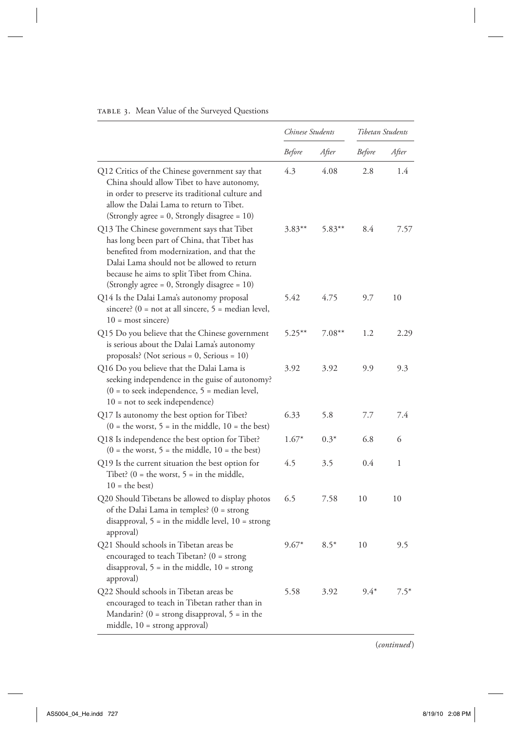|                                                                                                                                                                                                                                                                                     | Chinese Students |           | Tibetan Students |        |
|-------------------------------------------------------------------------------------------------------------------------------------------------------------------------------------------------------------------------------------------------------------------------------------|------------------|-----------|------------------|--------|
|                                                                                                                                                                                                                                                                                     | <b>Before</b>    | After     | <b>Before</b>    | After  |
| Q12 Critics of the Chinese government say that<br>China should allow Tibet to have autonomy,<br>in order to preserve its traditional culture and<br>allow the Dalai Lama to return to Tibet.<br>(Strongly agree = $0$ , Strongly disagree = $10$ )                                  | 4.3              | 4.08      | 2.8              | 1.4    |
| Q13 The Chinese government says that Tibet<br>has long been part of China, that Tibet has<br>benefited from modernization, and that the<br>Dalai Lama should not be allowed to return<br>because he aims to split Tibet from China.<br>(Strongly agree = 0, Strongly disagree = 10) | $3.83**$         | $5.83***$ | 8.4              | 7.57   |
| Q14 Is the Dalai Lama's autonomy proposal<br>sincere? $(0 = not at all since \tau, 5 = median level,$<br>$10 =$ most sincere)                                                                                                                                                       | 5.42             | 4.75      | 9.7              | 10     |
| Q15 Do you believe that the Chinese government<br>is serious about the Dalai Lama's autonomy<br>proposals? (Not serious = $0$ , Serious = $10$ )                                                                                                                                    | $5.25***$        | $7.08***$ | 1.2              | 2.29   |
| Q16 Do you believe that the Dalai Lama is<br>seeking independence in the guise of autonomy?<br>$(0 =$ to seek independence, $5 =$ median level,<br>$10 = not to seek independence$                                                                                                  | 3.92             | 3.92      | 9.9              | 9.3    |
| Q17 Is autonomy the best option for Tibet?<br>$(0 =$ the worst, $5 =$ in the middle, $10 =$ the best)                                                                                                                                                                               | 6.33             | 5.8       | 7.7              | 7.4    |
| Q18 Is independence the best option for Tibet?<br>$(0 =$ the worst, 5 = the middle, 10 = the best)                                                                                                                                                                                  | $1.67*$          | $0.3*$    | 6.8              | 6      |
| Q19 Is the current situation the best option for<br>Tibet? (0 = the worst, $5 =$ in the middle,<br>$10 =$ the best)                                                                                                                                                                 | 4.5              | 3.5       | 0.4              | 1      |
| Q20 Should Tibetans be allowed to display photos<br>of the Dalai Lama in temples? $(0 =$ strong<br>disapproval, $5 = \text{in}$ the middle level, $10 = \text{strong}$<br>approval)                                                                                                 | 6.5              | 7.58      | 10               | 10     |
| Q21 Should schools in Tibetan areas be<br>encouraged to teach Tibetan? (0 = strong<br>disapproval, $5 = \text{in the middle}, 10 = \text{strong}$<br>approval)                                                                                                                      | $9.67*$          | $8.5*$    | 10               | 9.5    |
| Q22 Should schools in Tibetan areas be<br>encouraged to teach in Tibetan rather than in<br>Mandarin? ( $0 =$ strong disapproval, $5 =$ in the<br>middle, 10 = strong approval)                                                                                                      | 5.58             | 3.92      | $9.4*$           | $7.5*$ |

# TABLE 3. Mean Value of the Surveyed Questions

(*continued* )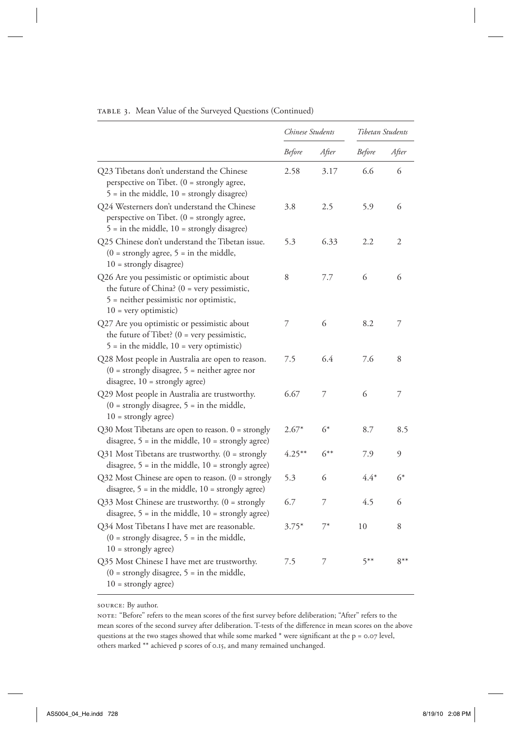|                                                                                                                                                                             | Chinese Students |        | Tibetan Students |       |
|-----------------------------------------------------------------------------------------------------------------------------------------------------------------------------|------------------|--------|------------------|-------|
|                                                                                                                                                                             | <b>Before</b>    | After  | <b>Before</b>    | After |
| Q23 Tibetans don't understand the Chinese<br>perspective on Tibet. $(0 = strongly agree,$<br>$5 =$ in the middle, $10 =$ strongly disagree)                                 | 2.58             | 3.17   | 6.6              | 6     |
| Q24 Westerners don't understand the Chinese<br>perspective on Tibet. $(0 = strongly agree,$<br>$5 =$ in the middle, $10 =$ strongly disagree)                               | 3.8              | 2.5    | 5.9              | 6     |
| Q25 Chinese don't understand the Tibetan issue.<br>$(0 = strongly agree, 5 = in the middle,$<br>$10 =$ strongly disagree)                                                   | 5.3              | 6.33   | 2.2              | 2     |
| Q26 Are you pessimistic or optimistic about<br>the future of China? $(0 = \text{very pessimistic})$ ,<br>5 = neither pessimistic nor optimistic,<br>$10 = very$ optimistic) | 8                | 7.7    | 6                | 6     |
| Q27 Are you optimistic or pessimistic about<br>the future of Tibet? $(0 = \text{very pessimistic})$ ,<br>$5 =$ in the middle, $10 =$ very optimistic)                       | 7                | 6      | 8.2              | 7     |
| Q28 Most people in Australia are open to reason.<br>$(0 = strongly disagree, 5 = neither agree nor$<br>disagree, $10 =$ strongly agree)                                     | 7.5              | 6.4    | 7.6              | 8     |
| Q29 Most people in Australia are trustworthy.<br>$(0 = strongly disagree, 5 = in the middle,$<br>$10 =$ strongly agree)                                                     | 6.67             | 7      | 6                | 7     |
| $Q30$ Most Tibetans are open to reason. $0 =$ strongly<br>disagree, $5 = \text{in the middle}, 10 = \text{strongly agree}$                                                  | $2.67*$          | $6*$   | 8.7              | 8.5   |
| $Q31$ Most Tibetans are trustworthy. $(0 =$ strongly<br>disagree, $5 = \text{in the middle}, 10 = \text{strongly agree}$                                                    | $4.25***$        | $6***$ | 7.9              | 9     |
| $Q32$ Most Chinese are open to reason. $(0 =$ strongly<br>disagree, $5 =$ in the middle, $10 =$ strongly agree)                                                             | 5.3              | 6      | $4.4*$           | $6*$  |
| Q33 Most Chinese are trustworthy. $(0 =$ strongly<br>disagree, $5 = \text{in the middle}, 10 = \text{strongly agree}$                                                       | 6.7              | 7      | 4.5              | 6     |
| Q34 Most Tibetans I have met are reasonable.<br>$(0 =$ strongly disagree, $5 =$ in the middle,<br>$10 =$ strongly agree)                                                    | $3.75*$          | $7*$   | 10               | 8     |
| Q35 Most Chinese I have met are trustworthy.<br>$(0 = strongly disagree, 5 = in the middle,$<br>$10 =$ strongly agree)                                                      | 7.5              | 7      | $5***$           | $8**$ |

table 3. Mean Value of the Surveyed Questions (Continued)

source: By author.

note: "Before" refers to the mean scores of the first survey before deliberation; "After" refers to the mean scores of the second survey after deliberation. T-tests of the difference in mean scores on the above questions at the two stages showed that while some marked \* were significant at the p = 0.07 level, others marked \*\* achieved p scores of 0.15, and many remained unchanged.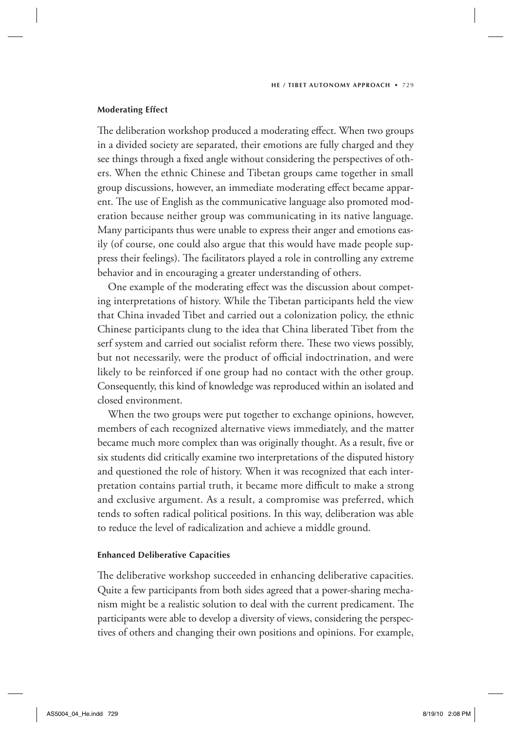#### **Moderating Effect**

The deliberation workshop produced a moderating effect. When two groups in a divided society are separated, their emotions are fully charged and they see things through a fixed angle without considering the perspectives of others. When the ethnic Chinese and Tibetan groups came together in small group discussions, however, an immediate moderating effect became apparent. The use of English as the communicative language also promoted moderation because neither group was communicating in its native language. Many participants thus were unable to express their anger and emotions easily (of course, one could also argue that this would have made people suppress their feelings). The facilitators played a role in controlling any extreme behavior and in encouraging a greater understanding of others.

One example of the moderating effect was the discussion about competing interpretations of history. While the Tibetan participants held the view that China invaded Tibet and carried out a colonization policy, the ethnic Chinese participants clung to the idea that China liberated Tibet from the serf system and carried out socialist reform there. These two views possibly, but not necessarily, were the product of official indoctrination, and were likely to be reinforced if one group had no contact with the other group. Consequently, this kind of knowledge was reproduced within an isolated and closed environment.

When the two groups were put together to exchange opinions, however, members of each recognized alternative views immediately, and the matter became much more complex than was originally thought. As a result, five or six students did critically examine two interpretations of the disputed history and questioned the role of history. When it was recognized that each interpretation contains partial truth, it became more difficult to make a strong and exclusive argument. As a result, a compromise was preferred, which tends to soften radical political positions. In this way, deliberation was able to reduce the level of radicalization and achieve a middle ground.

## **Enhanced Deliberative Capacities**

The deliberative workshop succeeded in enhancing deliberative capacities. Quite a few participants from both sides agreed that a power-sharing mechanism might be a realistic solution to deal with the current predicament. The participants were able to develop a diversity of views, considering the perspectives of others and changing their own positions and opinions. For example,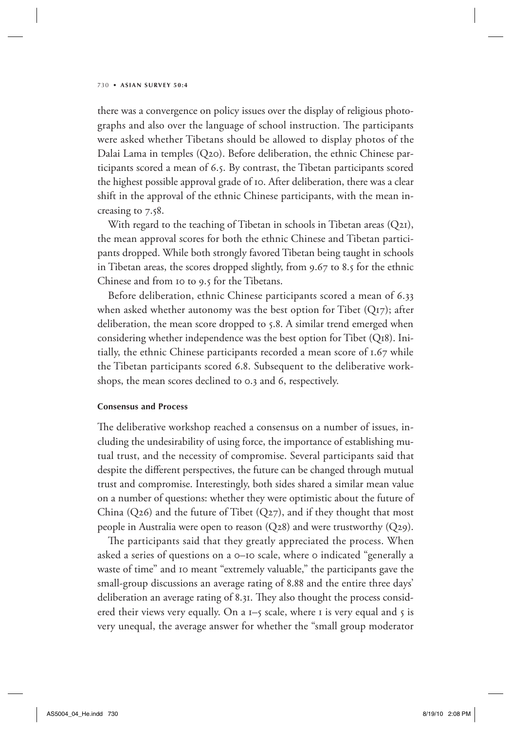there was a convergence on policy issues over the display of religious photographs and also over the language of school instruction. The participants were asked whether Tibetans should be allowed to display photos of the Dalai Lama in temples (Q20). Before deliberation, the ethnic Chinese participants scored a mean of 6.5. By contrast, the Tibetan participants scored the highest possible approval grade of 10. After deliberation, there was a clear shift in the approval of the ethnic Chinese participants, with the mean increasing to 7.58.

With regard to the teaching of Tibetan in schools in Tibetan areas (Q21), the mean approval scores for both the ethnic Chinese and Tibetan participants dropped. While both strongly favored Tibetan being taught in schools in Tibetan areas, the scores dropped slightly, from 9.67 to 8.5 for the ethnic Chinese and from 10 to 9.5 for the Tibetans.

Before deliberation, ethnic Chinese participants scored a mean of 6.33 when asked whether autonomy was the best option for Tibet  $(Q_{17})$ ; after deliberation, the mean score dropped to 5.8. A similar trend emerged when considering whether independence was the best option for Tibet (Q18). Initially, the ethnic Chinese participants recorded a mean score of 1.67 while the Tibetan participants scored 6.8. Subsequent to the deliberative workshops, the mean scores declined to 0.3 and 6, respectively.

#### **Consensus and Process**

The deliberative workshop reached a consensus on a number of issues, including the undesirability of using force, the importance of establishing mutual trust, and the necessity of compromise. Several participants said that despite the different perspectives, the future can be changed through mutual trust and compromise. Interestingly, both sides shared a similar mean value on a number of questions: whether they were optimistic about the future of China  $(Q_26)$  and the future of Tibet  $(Q_27)$ , and if they thought that most people in Australia were open to reason  $(Q_2)$  and were trustworthy  $(Q_2)$ .

The participants said that they greatly appreciated the process. When asked a series of questions on a 0–10 scale, where 0 indicated "generally a waste of time" and 10 meant "extremely valuable," the participants gave the small-group discussions an average rating of 8.88 and the entire three days' deliberation an average rating of 8.31. They also thought the process considered their views very equally. On a  $I$ –5 scale, where I is very equal and 5 is very unequal, the average answer for whether the "small group moderator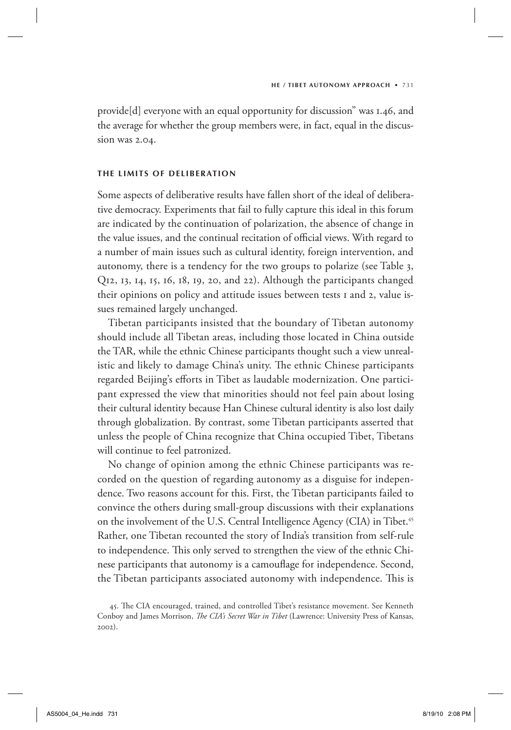provide[d] everyone with an equal opportunity for discussion" was 1.46, and the average for whether the group members were, in fact, equal in the discussion was 2.04.

# **THE LIMITS OF DELIBERATION**

Some aspects of deliberative results have fallen short of the ideal of deliberative democracy. Experiments that fail to fully capture this ideal in this forum are indicated by the continuation of polarization, the absence of change in the value issues, and the continual recitation of official views. With regard to a number of main issues such as cultural identity, foreign intervention, and autonomy, there is a tendency for the two groups to polarize (see Table 3, Q12, 13, 14, 15, 16, 18, 19, 20, and 22). Although the participants changed their opinions on policy and attitude issues between tests 1 and 2, value issues remained largely unchanged.

Tibetan participants insisted that the boundary of Tibetan autonomy should include all Tibetan areas, including those located in China outside the TAR, while the ethnic Chinese participants thought such a view unrealistic and likely to damage China's unity. The ethnic Chinese participants regarded Beijing's efforts in Tibet as laudable modernization. One participant expressed the view that minorities should not feel pain about losing their cultural identity because Han Chinese cultural identity is also lost daily through globalization. By contrast, some Tibetan participants asserted that unless the people of China recognize that China occupied Tibet, Tibetans will continue to feel patronized.

No change of opinion among the ethnic Chinese participants was recorded on the question of regarding autonomy as a disguise for independence. Two reasons account for this. First, the Tibetan participants failed to convince the others during small-group discussions with their explanations on the involvement of the U.S. Central Intelligence Agency (CIA) in Tibet.<sup>45</sup> Rather, one Tibetan recounted the story of India's transition from self-rule to independence. This only served to strengthen the view of the ethnic Chinese participants that autonomy is a camouflage for independence. Second, the Tibetan participants associated autonomy with independence. This is

<sup>45.</sup> The CIA encouraged, trained, and controlled Tibet's resistance movement. See Kenneth Conboy and James Morrison, *The CIA's Secret War in Tibet* (Lawrence: University Press of Kansas, 2002).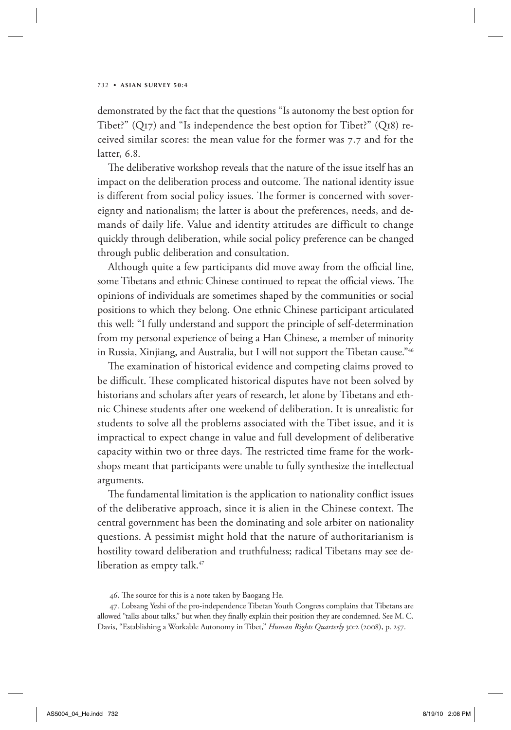demonstrated by the fact that the questions "Is autonomy the best option for Tibet?" (Q17) and "Is independence the best option for Tibet?" (Q18) received similar scores: the mean value for the former was 7.7 and for the latter, 6.8.

The deliberative workshop reveals that the nature of the issue itself has an impact on the deliberation process and outcome. The national identity issue is different from social policy issues. The former is concerned with sovereignty and nationalism; the latter is about the preferences, needs, and demands of daily life. Value and identity attitudes are difficult to change quickly through deliberation, while social policy preference can be changed through public deliberation and consultation.

Although quite a few participants did move away from the official line, some Tibetans and ethnic Chinese continued to repeat the official views. The opinions of individuals are sometimes shaped by the communities or social positions to which they belong. One ethnic Chinese participant articulated this well: "I fully understand and support the principle of self-determination from my personal experience of being a Han Chinese, a member of minority in Russia, Xinjiang, and Australia, but I will not support the Tibetan cause."46

The examination of historical evidence and competing claims proved to be difficult. These complicated historical disputes have not been solved by historians and scholars after years of research, let alone by Tibetans and ethnic Chinese students after one weekend of deliberation. It is unrealistic for students to solve all the problems associated with the Tibet issue, and it is impractical to expect change in value and full development of deliberative capacity within two or three days. The restricted time frame for the workshops meant that participants were unable to fully synthesize the intellectual arguments.

The fundamental limitation is the application to nationality conflict issues of the deliberative approach, since it is alien in the Chinese context. The central government has been the dominating and sole arbiter on nationality questions. A pessimist might hold that the nature of authoritarianism is hostility toward deliberation and truthfulness; radical Tibetans may see deliberation as empty talk.<sup>47</sup>

46. The source for this is a note taken by Baogang He.

47. Lobsang Yeshi of the pro-independence Tibetan Youth Congress complains that Tibetans are allowed "talks about talks," but when they finally explain their position they are condemned. See M. C. Davis, "Establishing a Workable Autonomy in Tibet," *Human Rights Quarterly* 30:2 (2008), p. 257.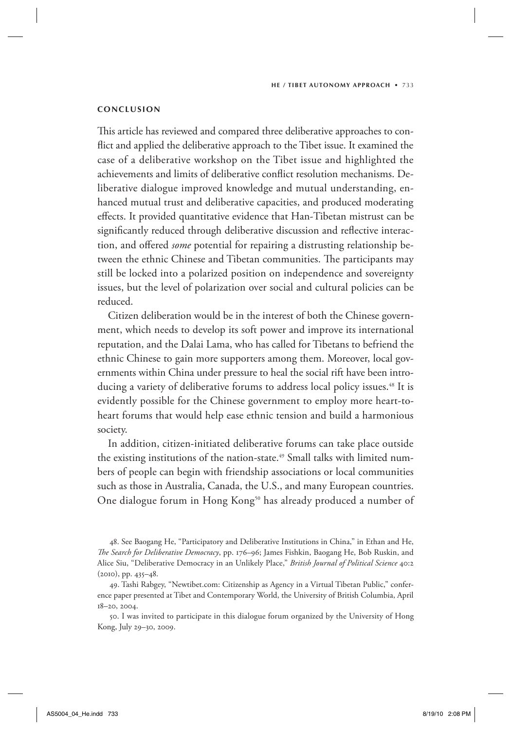#### **CONCLUSION**

This article has reviewed and compared three deliberative approaches to conflict and applied the deliberative approach to the Tibet issue. It examined the case of a deliberative workshop on the Tibet issue and highlighted the achievements and limits of deliberative conflict resolution mechanisms. Deliberative dialogue improved knowledge and mutual understanding, enhanced mutual trust and deliberative capacities, and produced moderating effects. It provided quantitative evidence that Han-Tibetan mistrust can be significantly reduced through deliberative discussion and reflective interaction, and offered *some* potential for repairing a distrusting relationship between the ethnic Chinese and Tibetan communities. The participants may still be locked into a polarized position on independence and sovereignty issues, but the level of polarization over social and cultural policies can be reduced.

Citizen deliberation would be in the interest of both the Chinese government, which needs to develop its soft power and improve its international reputation, and the Dalai Lama, who has called for Tibetans to befriend the ethnic Chinese to gain more supporters among them. Moreover, local governments within China under pressure to heal the social rift have been introducing a variety of deliberative forums to address local policy issues.<sup>48</sup> It is evidently possible for the Chinese government to employ more heart-toheart forums that would help ease ethnic tension and build a harmonious society.

In addition, citizen-initiated deliberative forums can take place outside the existing institutions of the nation-state.<sup>49</sup> Small talks with limited numbers of people can begin with friendship associations or local communities such as those in Australia, Canada, the U.S., and many European countries. One dialogue forum in Hong Kong<sup>50</sup> has already produced a number of

48. See Baogang He, "Participatory and Deliberative Institutions in China," in Ethan and He, *The Search for Deliberative Democracy*, pp. 176–96; James Fishkin, Baogang He, Bob Ruskin, and Alice Siu, "Deliberative Democracy in an Unlikely Place," *British Journal of Political Science* 40:2 (2010), pp. 435–48.

49. Tashi Rabgey, "Newtibet.com: Citizenship as Agency in a Virtual Tibetan Public," conference paper presented at Tibet and Contemporary World, the University of British Columbia, April 18–20, 2004.

50. I was invited to participate in this dialogue forum organized by the University of Hong Kong, July 29–30, 2009.